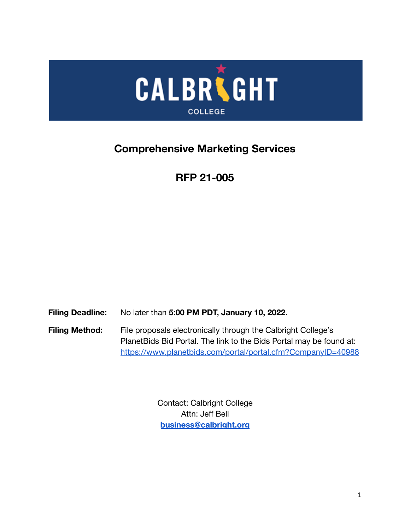

# **Comprehensive Marketing Services**

# **RFP 21-005**

**Filing Deadline:** No later than **5:00 PM PDT, January 10, 2022.**

Filing Method: File proposals electronically through the Calbright College's PlanetBids Bid Portal. The link to the Bids Portal may be found at: <https://www.planetbids.com/portal/portal.cfm?CompanyID=40988>

> Contact: Calbright College Attn: Jeff Bell **[business@calbright.org](mailto:business@calbright.org)**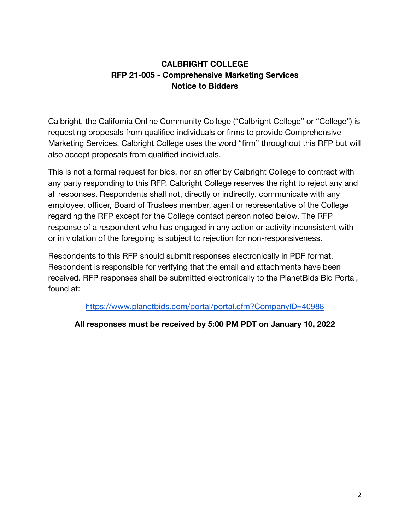# **CALBRIGHT COLLEGE RFP 21-005 - Comprehensive Marketing Services Notice to Bidders**

Calbright, the California Online Community College ("Calbright College" or "College") is requesting proposals from qualified individuals or firms to provide Comprehensive Marketing Services. Calbright College uses the word "firm" throughout this RFP but will also accept proposals from qualified individuals.

This is not a formal request for bids, nor an offer by Calbright College to contract with any party responding to this RFP. Calbright College reserves the right to reject any and all responses. Respondents shall not, directly or indirectly, communicate with any employee, officer, Board of Trustees member, agent or representative of the College regarding the RFP except for the College contact person noted below. The RFP response of a respondent who has engaged in any action or activity inconsistent with or in violation of the foregoing is subject to rejection for non-responsiveness.

Respondents to this RFP should submit responses electronically in PDF format. Respondent is responsible for verifying that the email and attachments have been received. RFP responses shall be submitted electronically to the PlanetBids Bid Portal, found at:

<https://www.planetbids.com/portal/portal.cfm?CompanyID=40988>

# **All responses must be received by 5:00 PM PDT on January 10, 2022**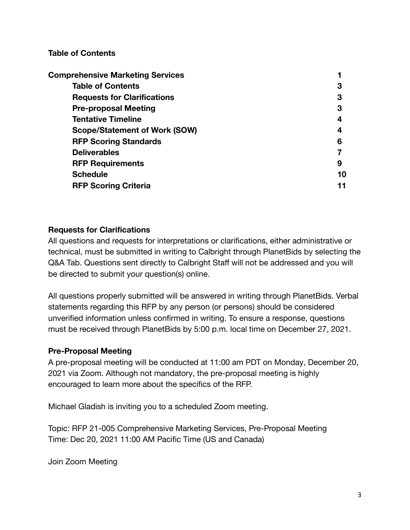#### **Table of Contents**

| <b>Comprehensive Marketing Services</b> |    |
|-----------------------------------------|----|
| <b>Table of Contents</b>                | 3  |
| <b>Requests for Clarifications</b>      | 3  |
| <b>Pre-proposal Meeting</b>             | 3  |
| <b>Tentative Timeline</b>               | 4  |
| <b>Scope/Statement of Work (SOW)</b>    | 4  |
| <b>RFP Scoring Standards</b>            | 6  |
| <b>Deliverables</b>                     |    |
| <b>RFP Requirements</b>                 | 9  |
| <b>Schedule</b>                         | 10 |
| <b>RFP Scoring Criteria</b>             |    |

#### **Requests for Clarifications**

All questions and requests for interpretations or clarifications, either administrative or technical, must be submitted in writing to Calbright through PlanetBids by selecting the Q&A Tab. Questions sent directly to Calbright Staff will not be addressed and you will be directed to submit your question(s) online.

All questions properly submitted will be answered in writing through PlanetBids. Verbal statements regarding this RFP by any person (or persons) should be considered unverified information unless confirmed in writing. To ensure a response, questions must be received through PlanetBids by 5:00 p.m. local time on December 27, 2021.

#### **Pre-Proposal Meeting**

A pre-proposal meeting will be conducted at 11:00 am PDT on Monday, December 20, 2021 via Zoom. Although not mandatory, the pre-proposal meeting is highly encouraged to learn more about the specifics of the RFP.

Michael Gladish is inviting you to a scheduled Zoom meeting.

Topic: RFP 21-005 Comprehensive Marketing Services, Pre-Proposal Meeting Time: Dec 20, 2021 11:00 AM Pacific Time (US and Canada)

Join Zoom Meeting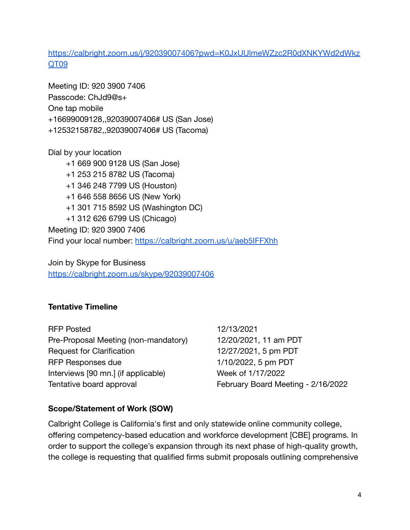[https://calbright.zoom.us/j/92039007406?pwd=K0JxUUlmeWZzc2R0dXNKYWd2dWkz](https://calbright.zoom.us/j/92039007406?pwd=K0JxUUlmeWZzc2R0dXNKYWd2dWkzQT09) [QT09](https://calbright.zoom.us/j/92039007406?pwd=K0JxUUlmeWZzc2R0dXNKYWd2dWkzQT09)

Meeting ID: 920 3900 7406 Passcode: ChJd9@s+ One tap mobile +16699009128,,92039007406# US (San Jose) +12532158782,,92039007406# US (Tacoma)

Dial by your location +1 669 900 9128 US (San Jose) +1 253 215 8782 US (Tacoma) +1 346 248 7799 US (Houston) +1 646 558 8656 US (New York) +1 301 715 8592 US (Washington DC) +1 312 626 6799 US (Chicago) Meeting ID: 920 3900 7406 Find your local number: <https://calbright.zoom.us/u/aeb5IFFXhh>

Join by Skype for Business <https://calbright.zoom.us/skype/92039007406>

# **Tentative Timeline**

RFP Posted 12/13/2021 Pre-Proposal Meeting (non-mandatory) 12/20/2021, 11 am PDT Request for Clarification 12/27/2021, 5 pm PDT RFP Responses due 1/10/2022, 5 pm PDT Interviews [90 mn.] (if applicable) Week of 1/17/2022 Tentative board approval February Board Meeting - 2/16/2022

# **Scope/Statement of Work (SOW)**

Calbright College is California's first and only statewide online community college, offering competency-based education and workforce development [CBE] programs. In order to support the college's expansion through its next phase of high-quality growth, the college is requesting that qualified firms submit proposals outlining comprehensive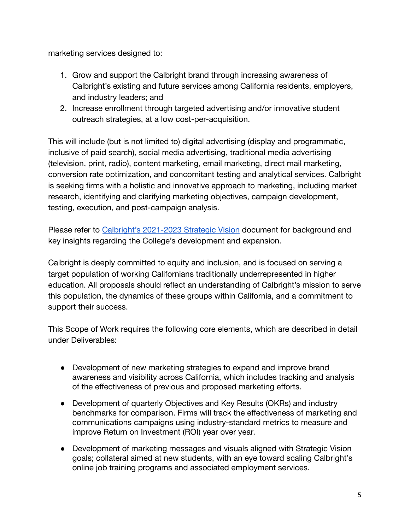marketing services designed to:

- 1. Grow and support the Calbright brand through increasing awareness of Calbright's existing and future services among California residents, employers, and industry leaders; and
- 2. Increase enrollment through targeted advertising and/or innovative student outreach strategies, at a low cost-per-acquisition.

This will include (but is not limited to) digital advertising (display and programmatic, inclusive of paid search), social media advertising, traditional media advertising (television, print, radio), content marketing, email marketing, direct mail marketing, conversion rate optimization, and concomitant testing and analytical services. Calbright is seeking firms with a holistic and innovative approach to marketing, including market research, identifying and clarifying marketing objectives, campaign development, testing, execution, and post-campaign analysis.

Please refer to [Calbright's 2021-2023 Strategic Vision](https://www.calbright.org/wp-content/uploads/2021/04/calbright_strategic_vision_2021-23-1.pdf) document for background and key insights regarding the College's development and expansion.

Calbright is deeply committed to equity and inclusion, and is focused on serving a target population of working Californians traditionally underrepresented in higher education. All proposals should reflect an understanding of Calbright's mission to serve this population, the dynamics of these groups within California, and a commitment to support their success.

This Scope of Work requires the following core elements, which are described in detail under Deliverables:

- Development of new marketing strategies to expand and improve brand awareness and visibility across California, which includes tracking and analysis of the effectiveness of previous and proposed marketing efforts.
- Development of quarterly Objectives and Key Results (OKRs) and industry benchmarks for comparison. Firms will track the effectiveness of marketing and communications campaigns using industry-standard metrics to measure and improve Return on Investment (ROI) year over year.
- Development of marketing messages and visuals aligned with Strategic Vision goals; collateral aimed at new students, with an eye toward scaling Calbright's online job training programs and associated employment services.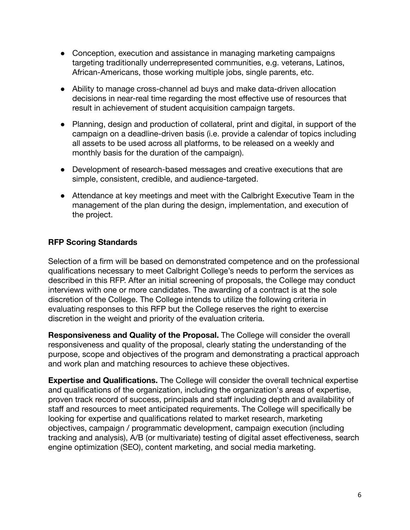- Conception, execution and assistance in managing marketing campaigns targeting traditionally underrepresented communities, e.g. veterans, Latinos, African-Americans, those working multiple jobs, single parents, etc.
- Ability to manage cross-channel ad buys and make data-driven allocation decisions in near-real time regarding the most effective use of resources that result in achievement of student acquisition campaign targets.
- Planning, design and production of collateral, print and digital, in support of the campaign on a deadline-driven basis (i.e. provide a calendar of topics including all assets to be used across all platforms, to be released on a weekly and monthly basis for the duration of the campaign).
- Development of research-based messages and creative executions that are simple, consistent, credible, and audience-targeted.
- Attendance at key meetings and meet with the Calbright Executive Team in the management of the plan during the design, implementation, and execution of the project.

# **RFP Scoring Standards**

Selection of a firm will be based on demonstrated competence and on the professional qualifications necessary to meet Calbright College's needs to perform the services as described in this RFP. After an initial screening of proposals, the College may conduct interviews with one or more candidates. The awarding of a contract is at the sole discretion of the College. The College intends to utilize the following criteria in evaluating responses to this RFP but the College reserves the right to exercise discretion in the weight and priority of the evaluation criteria.

**Responsiveness and Quality of the Proposal.** The College will consider the overall responsiveness and quality of the proposal, clearly stating the understanding of the purpose, scope and objectives of the program and demonstrating a practical approach and work plan and matching resources to achieve these objectives.

**Expertise and Qualifications.** The College will consider the overall technical expertise and qualifications of the organization, including the organization's areas of expertise, proven track record of success, principals and staff including depth and availability of staff and resources to meet anticipated requirements. The College will specifically be looking for expertise and qualifications related to market research, marketing objectives, campaign / programmatic development, campaign execution (including tracking and analysis), A/B (or multivariate) testing of digital asset effectiveness, search engine optimization (SEO), content marketing, and social media marketing.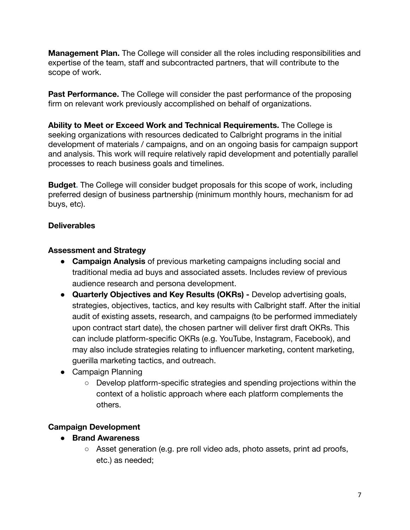**Management Plan.** The College will consider all the roles including responsibilities and expertise of the team, staff and subcontracted partners, that will contribute to the scope of work.

**Past Performance.** The College will consider the past performance of the proposing firm on relevant work previously accomplished on behalf of organizations.

**Ability to Meet or Exceed Work and Technical Requirements.** The College is seeking organizations with resources dedicated to Calbright programs in the initial development of materials / campaigns, and on an ongoing basis for campaign support and analysis. This work will require relatively rapid development and potentially parallel processes to reach business goals and timelines.

**Budget.** The College will consider budget proposals for this scope of work, including preferred design of business partnership (minimum monthly hours, mechanism for ad buys, etc).

#### **Deliverables**

#### **Assessment and Strategy**

- **Campaign Analysis** of previous marketing campaigns including social and traditional media ad buys and associated assets. Includes review of previous audience research and persona development.
- **● Quarterly Objectives and Key Results (OKRs) -** Develop advertising goals, strategies, objectives, tactics, and key results with Calbright staff. After the initial audit of existing assets, research, and campaigns (to be performed immediately upon contract start date), the chosen partner will deliver first draft OKRs. This can include platform-specific OKRs (e.g. YouTube, Instagram, Facebook), and may also include strategies relating to influencer marketing, content marketing, guerilla marketing tactics, and outreach.
- Campaign Planning
	- Develop platform-specific strategies and spending projections within the context of a holistic approach where each platform complements the others.

# **Campaign Development**

- **● Brand Awareness**
	- Asset generation (e.g. pre roll video ads, photo assets, print ad proofs, etc.) as needed;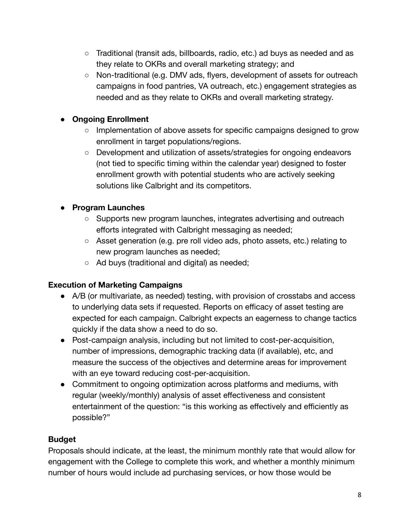- Traditional (transit ads, billboards, radio, etc.) ad buys as needed and as they relate to OKRs and overall marketing strategy; and
- Non-traditional (e.g. DMV ads, flyers, development of assets for outreach campaigns in food pantries, VA outreach, etc.) engagement strategies as needed and as they relate to OKRs and overall marketing strategy.

# **● Ongoing Enrollment**

- Implementation of above assets for specific campaigns designed to grow enrollment in target populations/regions.
- Development and utilization of assets/strategies for ongoing endeavors (not tied to specific timing within the calendar year) designed to foster enrollment growth with potential students who are actively seeking solutions like Calbright and its competitors.

# ● **Program Launches**

- Supports new program launches, integrates advertising and outreach efforts integrated with Calbright messaging as needed;
- Asset generation (e.g. pre roll video ads, photo assets, etc.) relating to new program launches as needed;
- Ad buys (traditional and digital) as needed;

# **Execution of Marketing Campaigns**

- A/B (or multivariate, as needed) testing, with provision of crosstabs and access to underlying data sets if requested. Reports on efficacy of asset testing are expected for each campaign. Calbright expects an eagerness to change tactics quickly if the data show a need to do so.
- Post-campaign analysis, including but not limited to cost-per-acquisition, number of impressions, demographic tracking data (if available), etc, and measure the success of the objectives and determine areas for improvement with an eye toward reducing cost-per-acquisition.
- Commitment to ongoing optimization across platforms and mediums, with regular (weekly/monthly) analysis of asset effectiveness and consistent entertainment of the question: "is this working as effectively and efficiently as possible?"

# **Budget**

Proposals should indicate, at the least, the minimum monthly rate that would allow for engagement with the College to complete this work, and whether a monthly minimum number of hours would include ad purchasing services, or how those would be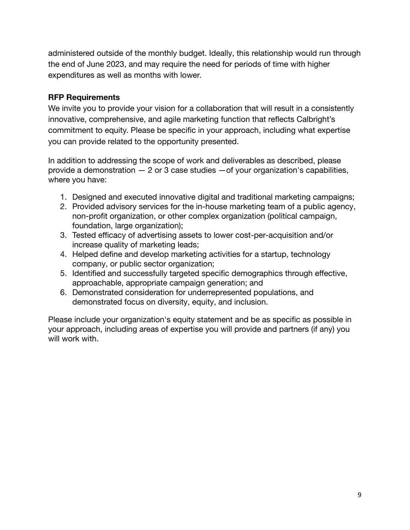administered outside of the monthly budget. Ideally, this relationship would run through the end of June 2023, and may require the need for periods of time with higher expenditures as well as months with lower.

#### **RFP Requirements**

We invite you to provide your vision for a collaboration that will result in a consistently innovative, comprehensive, and agile marketing function that reflects Calbright's commitment to equity. Please be specific in your approach, including what expertise you can provide related to the opportunity presented.

In addition to addressing the scope of work and deliverables as described, please provide a demonstration  $-2$  or 3 case studies  $-$  of your organization's capabilities, where you have:

- 1. Designed and executed innovative digital and traditional marketing campaigns;
- 2. Provided advisory services for the in-house marketing team of a public agency, non-profit organization, or other complex organization (political campaign, foundation, large organization);
- 3. Tested efficacy of advertising assets to lower cost-per-acquisition and/or increase quality of marketing leads;
- 4. Helped define and develop marketing activities for a startup, technology company, or public sector organization;
- 5. Identified and successfully targeted specific demographics through effective, approachable, appropriate campaign generation; and
- 6. Demonstrated consideration for underrepresented populations, and demonstrated focus on diversity, equity, and inclusion.

Please include your organization's equity statement and be as specific as possible in your approach, including areas of expertise you will provide and partners (if any) you will work with.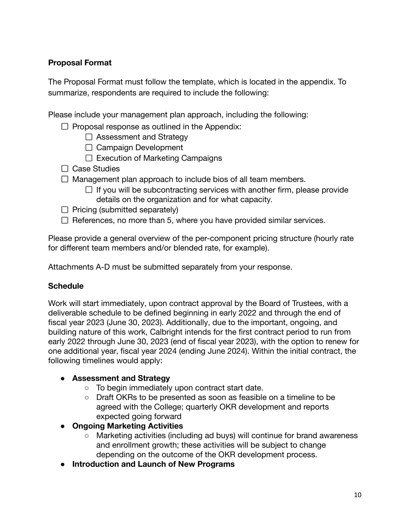# **Proposal Format**

The Proposal Format must follow the template, which is located in the appendix. To summarize, respondents are required to include the following:

Please include your management plan approach, including the following:

- $\Box$  Proposal response as outlined in the Appendix:
	- $\Box$  Assessment and Strategy
	- $\Box$  Campaign Development
	- $\Box$  Execution of Marketing Campaigns
- $\Box$  Case Studies
- $\Box$  Management plan approach to include bios of all team members.
	- $\Box$  If you will be subcontracting services with another firm, please provide details on the organization and for what capacity.
- $\Box$  Pricing (submitted separately)
- $\Box$  References, no more than 5, where you have provided similar services.

Please provide a general overview of the per-component pricing structure (hourly rate for different team members and/or blended rate, for example).

Attachments A-D must be submitted separately from your response.

# **Schedule**

Work will start immediately, upon contract approval by the Board of Trustees, with a deliverable schedule to be defined beginning in early 2022 and through the end of fiscal year 2023 (June 30, 2023). Additionally, due to the important, ongoing, and building nature of this work, Calbright intends for the first contract period to run from early 2022 through June 30, 2023 (end of fiscal year 2023), with the option to renew for one additional year, fiscal year 2024 (ending June 2024). Within the initial contract, the following timelines would apply:

#### ● **Assessment and Strategy**

- To begin immediately upon contract start date.
- Draft OKRs to be presented as soon as feasible on a timeline to be agreed with the College; quarterly OKR development and reports expected going forward
- **Ongoing Marketing Activities**
	- Marketing activities (including ad buys) will continue for brand awareness and enrollment growth; these activities will be subject to change depending on the outcome of the OKR development process.
- **Introduction and Launch of New Programs**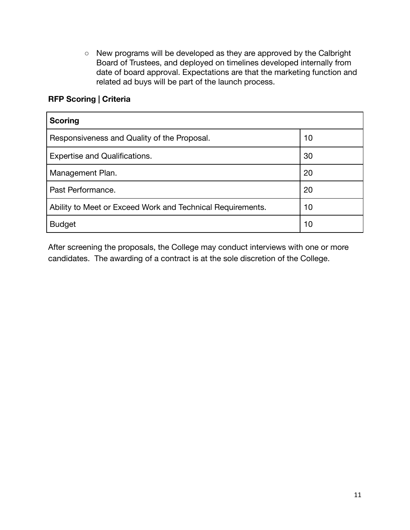○ New programs will be developed as they are approved by the Calbright Board of Trustees, and deployed on timelines developed internally from date of board approval. Expectations are that the marketing function and related ad buys will be part of the launch process.

### **RFP Scoring | Criteria**

| <b>Scoring</b>                                             |    |
|------------------------------------------------------------|----|
| Responsiveness and Quality of the Proposal.                | 10 |
| <b>Expertise and Qualifications.</b>                       | 30 |
| Management Plan.                                           | 20 |
| Past Performance.                                          | 20 |
| Ability to Meet or Exceed Work and Technical Requirements. | 10 |
| <b>Budget</b>                                              | 10 |

After screening the proposals, the College may conduct interviews with one or more candidates. The awarding of a contract is at the sole discretion of the College.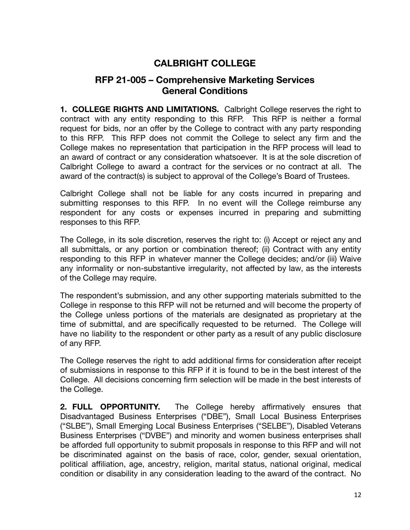# **CALBRIGHT COLLEGE**

# **RFP 21-005 – Comprehensive Marketing Services General Conditions**

**1. COLLEGE RIGHTS AND LIMITATIONS.** Calbright College reserves the right to contract with any entity responding to this RFP. This RFP is neither a formal request for bids, nor an offer by the College to contract with any party responding to this RFP. This RFP does not commit the College to select any firm and the College makes no representation that participation in the RFP process will lead to an award of contract or any consideration whatsoever. It is at the sole discretion of Calbright College to award a contract for the services or no contract at all. The award of the contract(s) is subject to approval of the College's Board of Trustees.

Calbright College shall not be liable for any costs incurred in preparing and submitting responses to this RFP. In no event will the College reimburse any respondent for any costs or expenses incurred in preparing and submitting responses to this RFP.

The College, in its sole discretion, reserves the right to: (i) Accept or reject any and all submittals, or any portion or combination thereof; (ii) Contract with any entity responding to this RFP in whatever manner the College decides; and/or (iii) Waive any informality or non-substantive irregularity, not affected by law, as the interests of the College may require.

The respondent's submission, and any other supporting materials submitted to the College in response to this RFP will not be returned and will become the property of the College unless portions of the materials are designated as proprietary at the time of submittal, and are specifically requested to be returned. The College will have no liability to the respondent or other party as a result of any public disclosure of any RFP.

The College reserves the right to add additional firms for consideration after receipt of submissions in response to this RFP if it is found to be in the best interest of the College. All decisions concerning firm selection will be made in the best interests of the College.

**2. FULL OPPORTUNITY.** The College hereby affirmatively ensures that Disadvantaged Business Enterprises ("DBE"), Small Local Business Enterprises ("SLBE"), Small Emerging Local Business Enterprises ("SELBE"), Disabled Veterans Business Enterprises ("DVBE") and minority and women business enterprises shall be afforded full opportunity to submit proposals in response to this RFP and will not be discriminated against on the basis of race, color, gender, sexual orientation, political affiliation, age, ancestry, religion, marital status, national original, medical condition or disability in any consideration leading to the award of the contract. No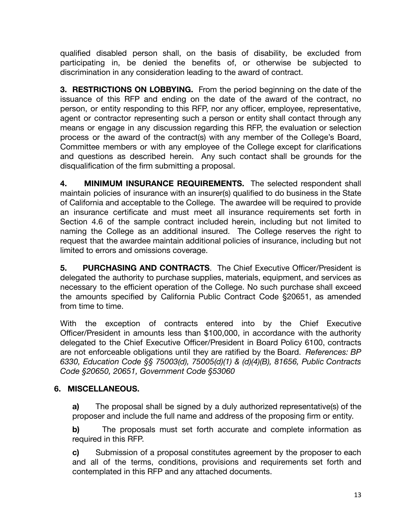qualified disabled person shall, on the basis of disability, be excluded from participating in, be denied the benefits of, or otherwise be subjected to discrimination in any consideration leading to the award of contract.

**3. RESTRICTIONS ON LOBBYING.** From the period beginning on the date of the issuance of this RFP and ending on the date of the award of the contract, no person, or entity responding to this RFP, nor any officer, employee, representative, agent or contractor representing such a person or entity shall contact through any means or engage in any discussion regarding this RFP, the evaluation or selection process or the award of the contract(s) with any member of the College's Board, Committee members or with any employee of the College except for clarifications and questions as described herein. Any such contact shall be grounds for the disqualification of the firm submitting a proposal.

**4. MINIMUM INSURANCE REQUIREMENTS.** The selected respondent shall maintain policies of insurance with an insurer(s) qualified to do business in the State of California and acceptable to the College. The awardee will be required to provide an insurance certificate and must meet all insurance requirements set forth in Section 4.6 of the sample contract included herein, including but not limited to naming the College as an additional insured. The College reserves the right to request that the awardee maintain additional policies of insurance, including but not limited to errors and omissions coverage.

**5. PURCHASING AND CONTRACTS**. The Chief Executive Officer/President is delegated the authority to purchase supplies, materials, equipment, and services as necessary to the efficient operation of the College. No such purchase shall exceed the amounts specified by California Public Contract Code §20651, as amended from time to time.

With the exception of contracts entered into by the Chief Executive Officer/President in amounts less than \$100,000, in accordance with the authority delegated to the Chief Executive Officer/President in Board Policy 6100, contracts are not enforceable obligations until they are ratified by the Board. *References: BP 6330, Education Code §§ 75003(d), 75005(d)(1) & (d)(4)(B), 81656, Public Contracts Code §20650, 20651, Government Code §53060*

# **6. MISCELLANEOUS.**

**a)** The proposal shall be signed by a duly authorized representative(s) of the proposer and include the full name and address of the proposing firm or entity.

**b)** The proposals must set forth accurate and complete information as required in this RFP.

**c)** Submission of a proposal constitutes agreement by the proposer to each and all of the terms, conditions, provisions and requirements set forth and contemplated in this RFP and any attached documents.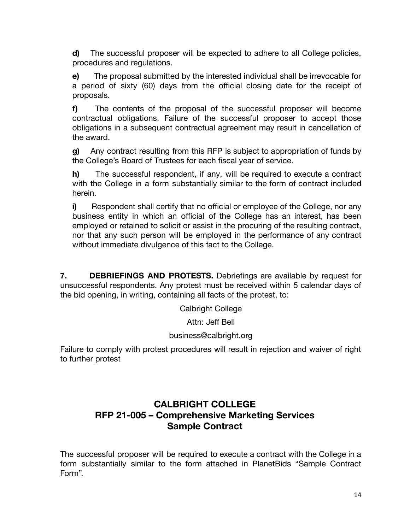**d)** The successful proposer will be expected to adhere to all College policies, procedures and regulations.

**e)** The proposal submitted by the interested individual shall be irrevocable for a period of sixty (60) days from the official closing date for the receipt of proposals.

**f)** The contents of the proposal of the successful proposer will become contractual obligations. Failure of the successful proposer to accept those obligations in a subsequent contractual agreement may result in cancellation of the award.

**g)** Any contract resulting from this RFP is subject to appropriation of funds by the College's Board of Trustees for each fiscal year of service.

**h)** The successful respondent, if any, will be required to execute a contract with the College in a form substantially similar to the form of contract included herein.

**i)** Respondent shall certify that no official or employee of the College, nor any business entity in which an official of the College has an interest, has been employed or retained to solicit or assist in the procuring of the resulting contract, nor that any such person will be employed in the performance of any contract without immediate divulgence of this fact to the College.

**7. DEBRIEFINGS AND PROTESTS.** Debriefings are available by request for unsuccessful respondents. Any protest must be received within 5 calendar days of the bid opening, in writing, containing all facts of the protest, to:

Calbright College

Attn: Jeff Bell

#### business@calbright.org

Failure to comply with protest procedures will result in rejection and waiver of right to further protest

# **CALBRIGHT COLLEGE RFP 21-005 – Comprehensive Marketing Services Sample Contract**

The successful proposer will be required to execute a contract with the College in a form substantially similar to the form attached in PlanetBids "Sample Contract Form".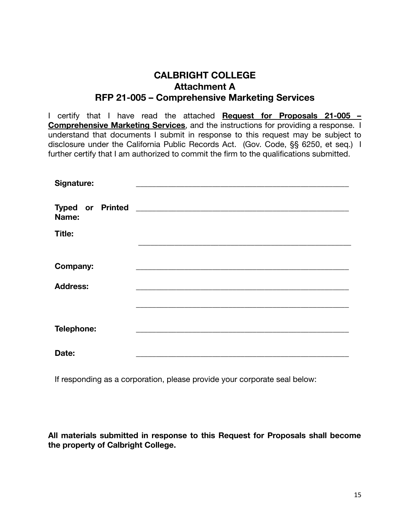# **CALBRIGHT COLLEGE Attachment A RFP 21-005 – Comprehensive Marketing Services**

I certify that I have read the attached **Request for Proposals 21-005 – Comprehensive Marketing Services**, and the instructions for providing a response. I understand that documents I submit in response to this request may be subject to disclosure under the California Public Records Act. (Gov. Code, §§ 6250, et seq.) I further certify that I am authorized to commit the firm to the qualifications submitted.

| Signature:                       |                                                                                                                                                                                                                                      |
|----------------------------------|--------------------------------------------------------------------------------------------------------------------------------------------------------------------------------------------------------------------------------------|
| <b>Typed or Printed</b><br>Name: | <u>and the state of the state of the state of the state of the state of the state of the state of the state of the state of the state of the state of the state of the state of the state of the state of the state of the state</u> |
| <b>Title:</b>                    |                                                                                                                                                                                                                                      |
|                                  |                                                                                                                                                                                                                                      |
| <b>Company:</b>                  |                                                                                                                                                                                                                                      |
| <b>Address:</b>                  |                                                                                                                                                                                                                                      |
|                                  |                                                                                                                                                                                                                                      |
|                                  |                                                                                                                                                                                                                                      |
| Telephone:                       |                                                                                                                                                                                                                                      |
|                                  |                                                                                                                                                                                                                                      |
| Date:                            |                                                                                                                                                                                                                                      |

If responding as a corporation, please provide your corporate seal below:

**All materials submitted in response to this Request for Proposals shall become the property of Calbright College.**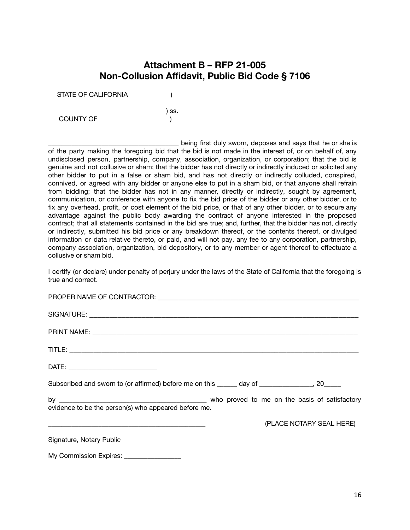# **Attachment B – RFP 21-005 Non-Collusion Affidavit, Public Bid Code § 7106**

) ss.

STATE OF CALIFORNIA (1)

COUNTY OF THE STATE OF THE STATE OF THE STATE OF THE STATE OF THE STATE OF THE STATE OF THE STATE OF THE STATE OF THE STATE OF THE STATE OF THE STATE OF THE STATE OF THE STATE OF THE STATE OF THE STATE OF THE STATE OF THE

being first duly sworn, deposes and says that he or she is of the party making the foregoing bid that the bid is not made in the interest of, or on behalf of, any undisclosed person, partnership, company, association, organization, or corporation; that the bid is genuine and not collusive or sham; that the bidder has not directly or indirectly induced or solicited any other bidder to put in a false or sham bid, and has not directly or indirectly colluded, conspired, connived, or agreed with any bidder or anyone else to put in a sham bid, or that anyone shall refrain from bidding; that the bidder has not in any manner, directly or indirectly, sought by agreement, communication, or conference with anyone to fix the bid price of the bidder or any other bidder, or to fix any overhead, profit, or cost element of the bid price, or that of any other bidder, or to secure any advantage against the public body awarding the contract of anyone interested in the proposed contract; that all statements contained in the bid are true; and, further, that the bidder has not, directly or indirectly, submitted his bid price or any breakdown thereof, or the contents thereof, or divulged information or data relative thereto, or paid, and will not pay, any fee to any corporation, partnership, company association, organization, bid depository, or to any member or agent thereof to effectuate a collusive or sham bid.

I certify (or declare) under penalty of perjury under the laws of the State of California that the foregoing is true and correct.

| PROPER NAME OF CONTRACTOR: The contract of the contract of the contract of the contract of the contract of the |  |  |                          |
|----------------------------------------------------------------------------------------------------------------|--|--|--------------------------|
|                                                                                                                |  |  |                          |
|                                                                                                                |  |  |                          |
|                                                                                                                |  |  |                          |
| DATE: _______________________________                                                                          |  |  |                          |
| Subscribed and sworn to (or affirmed) before me on this ______ day of ______________, 20_____                  |  |  |                          |
| evidence to be the person(s) who appeared before me.                                                           |  |  |                          |
|                                                                                                                |  |  | (PLACE NOTARY SEAL HERE) |
| Signature, Notary Public                                                                                       |  |  |                          |
| My Commission Expires: _________________                                                                       |  |  |                          |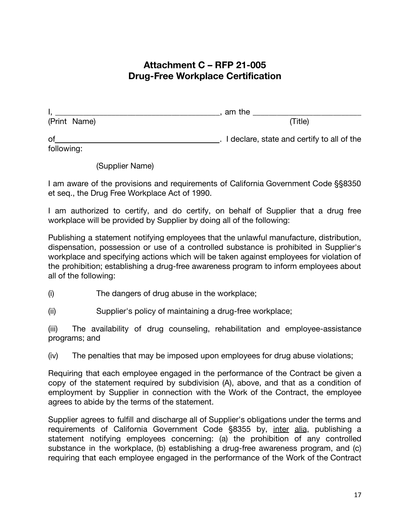# **Attachment C – RFP 21-005 Drug-Free Workplace Certification**

|              | am the                                       |
|--------------|----------------------------------------------|
| (Print Name) | (Title)                                      |
| of           | . I declare, state and certify to all of the |
| following:   |                                              |

(Supplier Name)

I am aware of the provisions and requirements of California Government Code §§8350 et seq., the Drug Free Workplace Act of 1990.

I am authorized to certify, and do certify, on behalf of Supplier that a drug free workplace will be provided by Supplier by doing all of the following:

Publishing a statement notifying employees that the unlawful manufacture, distribution, dispensation, possession or use of a controlled substance is prohibited in Supplier's workplace and specifying actions which will be taken against employees for violation of the prohibition; establishing a drug-free awareness program to inform employees about all of the following:

- (i) The dangers of drug abuse in the workplace;
- (ii) Supplier's policy of maintaining a drug-free workplace;

(iii) The availability of drug counseling, rehabilitation and employee-assistance programs; and

(iv) The penalties that may be imposed upon employees for drug abuse violations;

Requiring that each employee engaged in the performance of the Contract be given a copy of the statement required by subdivision (A), above, and that as a condition of employment by Supplier in connection with the Work of the Contract, the employee agrees to abide by the terms of the statement.

Supplier agrees to fulfill and discharge all of Supplier's obligations under the terms and requirements of California Government Code §8355 by, inter alia, publishing a statement notifying employees concerning: (a) the prohibition of any controlled substance in the workplace, (b) establishing a drug-free awareness program, and (c) requiring that each employee engaged in the performance of the Work of the Contract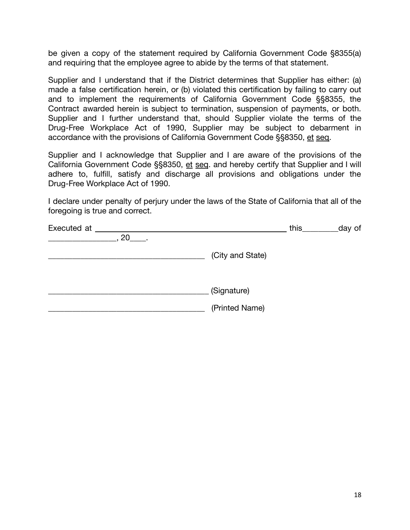be given a copy of the statement required by California Government Code §8355(a) and requiring that the employee agree to abide by the terms of that statement.

Supplier and I understand that if the District determines that Supplier has either: (a) made a false certification herein, or (b) violated this certification by failing to carry out and to implement the requirements of California Government Code §§8355, the Contract awarded herein is subject to termination, suspension of payments, or both. Supplier and I further understand that, should Supplier violate the terms of the Drug-Free Workplace Act of 1990, Supplier may be subject to debarment in accordance with the provisions of California Government Code §§8350, et seq.

Supplier and I acknowledge that Supplier and I are aware of the provisions of the California Government Code §§8350, et seq. and hereby certify that Supplier and I will adhere to, fulfill, satisfy and discharge all provisions and obligations under the Drug-Free Workplace Act of 1990.

I declare under penalty of perjury under the laws of the State of California that all of the foregoing is true and correct.

| Executed at |                  | this_ | _day of |
|-------------|------------------|-------|---------|
| 20 .        |                  |       |         |
|             | (City and State) |       |         |
|             | (Signature)      |       |         |
|             | (Printed Name)   |       |         |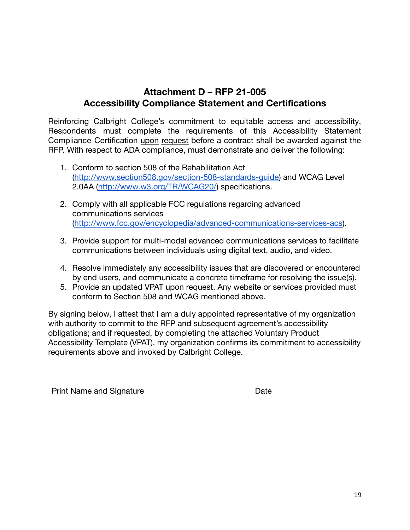# **Attachment D – RFP 21-005 Accessibility Compliance Statement and Certifications**

Reinforcing Calbright College's commitment to equitable access and accessibility, Respondents must complete the requirements of this Accessibility Statement Compliance Certification upon request before a contract shall be awarded against the RFP. With respect to ADA compliance, must demonstrate and deliver the following:

- 1. Conform to section 508 of the Rehabilitation Act [\(http://www.section508.gov/section-508-standards-guide\)](http://www.section508.gov/section-508-standards-guide) and WCAG Level 2.0AA (<http://www.w3.org/TR/WCAG20/>) specifications.
- 2. Comply with all applicable FCC regulations regarding advanced communications services [\(http://www.fcc.gov/encyclopedia/advanced-communications-services-acs\)](http://www.fcc.gov/encyclopedia/advanced-communications-services-acs).
- 3. Provide support for multi-modal advanced communications services to facilitate communications between individuals using digital text, audio, and video.
- 4. Resolve immediately any accessibility issues that are discovered or encountered by end users, and communicate a concrete timeframe for resolving the issue(s).
- 5. Provide an updated VPAT upon request. Any website or services provided must conform to Section 508 and WCAG mentioned above.

By signing below, I attest that I am a duly appointed representative of my organization with authority to commit to the RFP and subsequent agreement's accessibility obligations; and if requested, by completing the attached Voluntary Product Accessibility Template (VPAT), my organization confirms its commitment to accessibility requirements above and invoked by Calbright College.

Print Name and Signature **Date** Date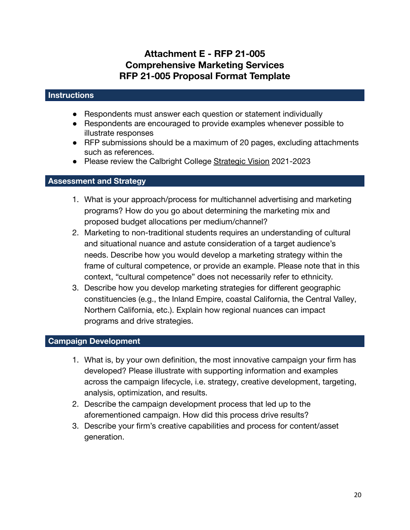# **Attachment E - RFP 21-005 Comprehensive Marketing Services RFP 21-005 Proposal Format Template**

#### **Instructions**

- Respondents must answer each question or statement individually
- Respondents are encouraged to provide examples whenever possible to illustrate responses
- RFP submissions should be a maximum of 20 pages, excluding attachments such as references.
- Please review the Calbright College [Strategic Vision](https://www.calbright.org/wp-content/uploads/2021/04/calbright_strategic_vision_2021-23-1.pdf) 2021-2023

#### **Assessment and Strategy**

- 1. What is your approach/process for multichannel advertising and marketing programs? How do you go about determining the marketing mix and proposed budget allocations per medium/channel?
- 2. Marketing to non-traditional students requires an understanding of cultural and situational nuance and astute consideration of a target audience's needs. Describe how you would develop a marketing strategy within the frame of cultural competence, or provide an example. Please note that in this context, "cultural competence" does not necessarily refer to ethnicity.
- 3. Describe how you develop marketing strategies for different geographic constituencies (e.g., the Inland Empire, coastal California, the Central Valley, Northern California, etc.). Explain how regional nuances can impact programs and drive strategies.

#### **Campaign Development**

- 1. What is, by your own definition, the most innovative campaign your firm has developed? Please illustrate with supporting information and examples across the campaign lifecycle, i.e. strategy, creative development, targeting, analysis, optimization, and results.
- 2. Describe the campaign development process that led up to the aforementioned campaign. How did this process drive results?
- 3. Describe your firm's creative capabilities and process for content/asset generation.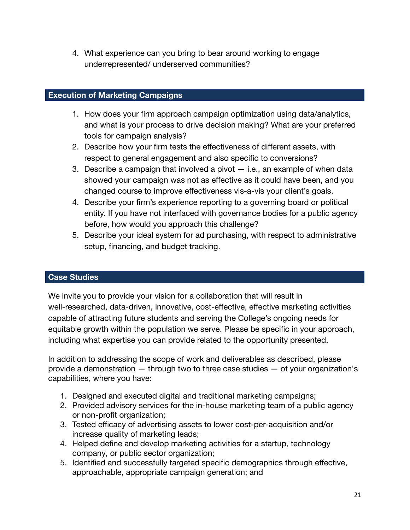4. What experience can you bring to bear around working to engage underrepresented/ underserved communities?

#### **Execution of Marketing Campaigns**

- 1. How does your firm approach campaign optimization using data/analytics, and what is your process to drive decision making? What are your preferred tools for campaign analysis?
- 2. Describe how your firm tests the effectiveness of different assets, with respect to general engagement and also specific to conversions?
- 3. Describe a campaign that involved a pivot i.e., an example of when data showed your campaign was not as effective as it could have been, and you changed course to improve effectiveness vis-a-vis your client's goals.
- 4. Describe your firm's experience reporting to a governing board or political entity. If you have not interfaced with governance bodies for a public agency before, how would you approach this challenge?
- 5. Describe your ideal system for ad purchasing, with respect to administrative setup, financing, and budget tracking.

#### **Case Studies**

We invite you to provide your vision for a collaboration that will result in well-researched, data-driven, innovative, cost-effective, effective marketing activities capable of attracting future students and serving the College's ongoing needs for equitable growth within the population we serve. Please be specific in your approach, including what expertise you can provide related to the opportunity presented.

In addition to addressing the scope of work and deliverables as described, please provide a demonstration — through two to three case studies — of your organization's capabilities, where you have:

- 1. Designed and executed digital and traditional marketing campaigns;
- 2. Provided advisory services for the in-house marketing team of a public agency or non-profit organization;
- 3. Tested efficacy of advertising assets to lower cost-per-acquisition and/or increase quality of marketing leads;
- 4. Helped define and develop marketing activities for a startup, technology company, or public sector organization;
- 5. Identified and successfully targeted specific demographics through effective, approachable, appropriate campaign generation; and